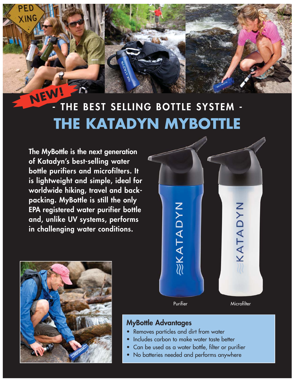## **- THE BEST SELLING BOTTLE SYSTEM - THE KATADYN MYBOTTLE NEW!**

**The MyBottle is the next generation of Katadyn's best-selling water bottle purifiers and microfilters. It is lightweight and simple, ideal for worldwide hiking, travel and back packing. MyBottle is still the only EPA registered water purifier bottle and, unlike UV systems, performs in challenging water conditions.**

XING





#### **MyBottle Advantages**

- Removes particles and dirt from water
- Includes carbon to make water taste better
- Can be used as a water bottle, filter or purifier
- No batteries needed and performs anywhere